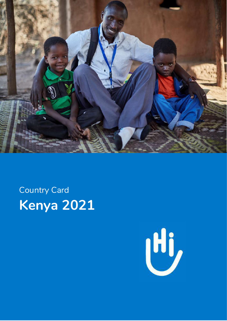

Country Card **Kenya 2021**

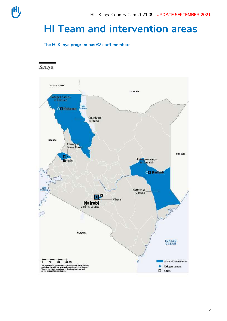# **HI Team and intervention areas**

#### **The HI Kenya program has 67 staff members**

# Kenya

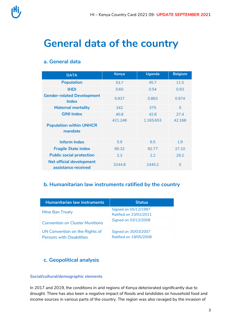# **General data of the country**

### **a. General data**

| <b>DATA</b>                                            | <b>Kenya</b> | <b>Uganda</b> | <b>Belgium</b> |
|--------------------------------------------------------|--------------|---------------|----------------|
| <b>Population</b>                                      | 53.7         | 45.7          | 11.5           |
| <b>IHDI</b>                                            | 0.60         | 0.54          | 0.93           |
| <b>Gender-related Development</b><br>Index             | 0.937        | 0.863         | 0.974          |
| <b>Maternal mortality</b>                              | 342          | 375           | 5              |
| <b>GINI Index</b>                                      | 40.8         | 42.8          | 27.4           |
| <b>Population within UNHCR</b><br>mandate              | 421.248      | 1.165.653     | 42.168         |
| <b>Inform Index</b>                                    | 5.9          | 6.5           | 1.9            |
| <b>Fragile State index</b>                             | 90.32        | 92.77         | 27.10          |
| <b>Public social protection</b>                        | 2.3          | 2.2           | 29.2           |
| <b>Net official development</b><br>assistance received | 3244.8       | 2445.2        | $\Omega$       |

### **b. Humanitarian law instruments ratified by the country**

| <b>Humanitarian law instruments</b>                                | <b>Status</b>                                  |
|--------------------------------------------------------------------|------------------------------------------------|
| Mine Ban Treaty                                                    | Signed on 05/12/1997<br>Ratified on 23/01/2011 |
| <b>Convention on Cluster Munitions</b>                             | Signed on 03/12/2008                           |
| UN Convention on the Rights of<br><b>Persons with Disabilities</b> | Signed on 30/03/2007<br>Ratified on 19/05/2008 |

### **c. Geopolitical analysis**

#### **Social/cultural/demographic elements**

In 2017 and 2019, the conditions in arid regions of Kenya deteriorated significantly due to drought. There has also been a negative impact of floods and landslides on household food and income sources in various parts of the country. The region was also ravaged by the invasion of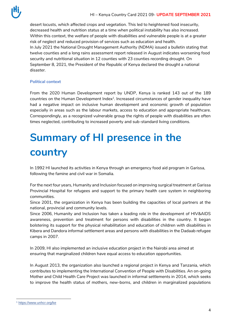desert locusts, which affected crops and vegetation. This led to heightened food insecurity, decreased health and nutrition status at a time when political instability has also increased. Within this context, the welfare of people with disabilities and vulnerable people is at a greater risk of neglect and reduced provision of services such as education and health. In July 2021 the National Drought Management Authority (NDMA) issued a bulletin stating that twelve counties and a long rains assessment report released in August indicates worsening food security and nutritional situation in 12 counties with 23 counties recording drought. On September 8, 2021, the President of the Republic of Kenya declared the drought a national disaster.

#### **Political context**

From the 2020 Human Development report by UNDP, Kenya is ranked 143 out of the 189 countries on the Human Development Index $^1$ . Increased circumstances of gender inequality have had a negative impact on inclusive human development and economic growth of population especially in areas such as the labour markets, access to education and appropriate healthcare. Correspondingly, as a recognized vulnerable group the rights of people with disabilities are often times neglected, contributing to increased poverty and sub-standard living conditions.

# **Summary of HI presence in the country**

In 1992 HI launched its activities in Kenya through an emergency food aid program in Garissa, following the famine and civil war in Somalia.

For the next four years, Humanity and Inclusion focused on improving surgical treatment at Garissa Provincial Hospital for refugees and support to the primary health care system in neighboring communities.

Since 2001, the organization in Kenya has been building the capacities of local partners at the national, provincial and community levels.

Since 2006, Humanity and Inclusion has taken a leading role in the development of HIV&AIDS awareness, prevention and treatment for persons with disabilities in the country. It began bolstering its support for the physical rehabilitation and education of children with disabilities in Kibera and Dandora informal settlement areas and persons with disabilities in the Dadaab refugee camps in 2007.

In 2009, HI also implemented an inclusive education project in the Nairobi area aimed at ensuring that marginalized children have equal access to education opportunities.

In August 2013, the organization also launched a regional project in Kenya and Tanzania, which contributes to implementing the International Convention of People with Disabilities. An on-going Mother and Child Health Care Project was launched in informal settlements in 2014, which seeks to improve the health status of mothers, new-borns, and children in marginalized populations

 $\overline{a}$ 

<sup>1</sup> https://www.unhcr.org/ke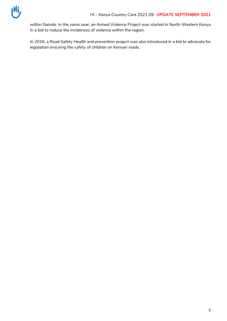within Nairobi. In the same year, an Armed Violence Project was started in North-Western Kenya in a bid to reduce the incidences of violence within the region.

In 2016, a Road Safety Health and prevention project was also introduced in a bid to advocate for legislation ensuring the safety of children on Kenyan roads.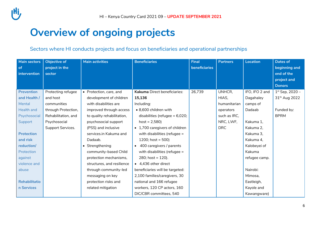# **Overview of ongoing projects**

### Sectors where HI conducts projects and focus on beneficiaries and operational partnerships

| <b>Main sectors</b>  | <b>Objective of</b> | <b>Main activities</b>     | <b>Beneficiaries</b>              | <b>Final</b>  | <b>Partners</b> | <b>Location</b> | <b>Dates of</b>           |
|----------------------|---------------------|----------------------------|-----------------------------------|---------------|-----------------|-----------------|---------------------------|
| of                   | project in the      |                            |                                   | beneficiaries |                 |                 | beginning and             |
| intervention         | sector              |                            |                                   |               |                 |                 | end of the                |
|                      |                     |                            |                                   |               |                 |                 | project and               |
|                      |                     |                            |                                   |               |                 |                 | <b>Donors</b>             |
| <b>Prevention</b>    | Protecting refugee  | • Protection, care, and    | Kakuma Direct beneficiaries:      | 26,739        | UNHCR,          | IFO, IFO 2 and  | $1^{st}$ Sep, 2020 -      |
| and Health /         | and host            | development of children    | 15,136                            |               | HIAS,           | Dagahaley       | 31 <sup>th</sup> Aug 2022 |
| Mental               | communities         | with disabilities are      | Including:                        |               | humanitarian    | camps of        |                           |
| <b>Health and</b>    | through Protection, | improved through access    | • 8,600 children with             |               | operators       | Dadaab          | Funded by:                |
| Psychosocial         | Rehabilitation, and | to quality rehabilitation, | disabilities (refugee = $6,020$ ; |               | such as IRC,    |                 | <b>BPRM</b>               |
| Support              | Psychosocial        | psychosocial support       | $host = 2,580$                    |               | NRC, LWF,       | Kakuma 1,       |                           |
|                      | Support Services.   | (PSS) and inclusive        | • 1,700 caregivers of children    |               | <b>DRC</b>      | Kakuma 2,       |                           |
| <b>Protection</b>    |                     | services.in Kakuma and     | with disabilities (refugee =      |               |                 | Kakuma 3,       |                           |
| and risk             |                     | Dadaab.                    | 1200; host = $500$ )              |               |                 | Kakuma 4,       |                           |
| reduction/           |                     | • Strengthening            | • 400 caregivers / parents        |               |                 | Kalobeyei of    |                           |
| Protection           |                     | community-based Child      | with disabilities (refugee =      |               |                 | Kakuma          |                           |
| against              |                     | protection mechanisms,     | 280; host = $120$ ).              |               |                 | refugee camp.   |                           |
| violence and         |                     | structures, and resilience | • 4,436 other direct              |               |                 |                 |                           |
| abuse                |                     | through community-led      | beneficiaries will be targeted:   |               |                 | Nairobi:        |                           |
|                      |                     | messaging on key           | 2,100 families/caregivers, 30     |               |                 | Mimosa,         |                           |
| <b>Rehabilitatio</b> |                     | protection risks and       | national and 166 refugee          |               |                 | Eastleigh,      |                           |
| n Services           |                     | related mitigation         | workers, 120 CP actors, 160       |               |                 | Kayole and      |                           |
|                      |                     |                            | DIC/CBR committees, 540           |               |                 | Kawangware)     |                           |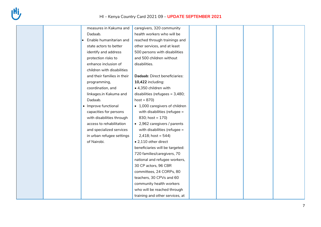|  | measures in Kakuma and               | caregivers, 320 community       |  |  |
|--|--------------------------------------|---------------------------------|--|--|
|  | Dadaab.                              | health workers who will be      |  |  |
|  | Enable humanitarian and<br>$\bullet$ | reached through trainings and   |  |  |
|  | state actors to better               | other services, and at least    |  |  |
|  | identify and address                 | 500 persons with disabilities   |  |  |
|  | protection risks to                  | and 500 children without        |  |  |
|  | enhance inclusion of                 | disabilities.                   |  |  |
|  | children with disabilities           |                                 |  |  |
|  | and their families in their          | Dadaab: Direct beneficiaries:   |  |  |
|  | programming,                         | <b>10,422</b> including:        |  |  |
|  | coordination, and                    | • 4,350 children with           |  |  |
|  | linkages.in Kakuma and               | disabilities (refugees = 3,480; |  |  |
|  | Dadaab.                              | host = $870$ )                  |  |  |
|  | • Improve functional                 | • 1,000 caregivers of children  |  |  |
|  | capacities for persons               | with disabilities (refugee =    |  |  |
|  | with disabilities through            | $830$ ; host = 170)             |  |  |
|  | access to rehabilitation             | • 2,962 caregivers / parents    |  |  |
|  | and specialized services             | with disabilities (refugee =    |  |  |
|  | in urban refugee settings            | $2,418$ ; host = 544)           |  |  |
|  | of Nairobi.                          | • 2,110 other direct            |  |  |
|  |                                      | beneficiaries will be targeted: |  |  |
|  |                                      | 720 families/caregivers, 70     |  |  |
|  |                                      | national and refugee workers,   |  |  |
|  |                                      | 30 CP actors, 96 CBR            |  |  |
|  |                                      | committees, 24 CORPs, 80        |  |  |
|  |                                      | teachers, 30 CPVs and 60        |  |  |
|  |                                      | community health workers        |  |  |
|  |                                      | who will be reached through     |  |  |
|  |                                      | training and other services, at |  |  |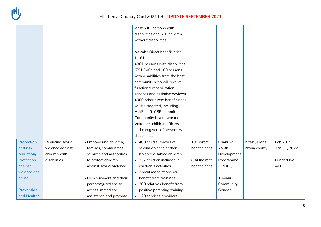|                   |                  |                            | least 500 persons with           |               |             |               |              |
|-------------------|------------------|----------------------------|----------------------------------|---------------|-------------|---------------|--------------|
|                   |                  |                            | disabilities and 500 children    |               |             |               |              |
|                   |                  |                            | without disabilities.            |               |             |               |              |
|                   |                  |                            |                                  |               |             |               |              |
|                   |                  |                            | Nairobi: Direct beneficiaries:   |               |             |               |              |
|                   |                  |                            | 1,181                            |               |             |               |              |
|                   |                  |                            | .881 persons with disabilities   |               |             |               |              |
|                   |                  |                            | (781 PoCs and 100 persons        |               |             |               |              |
|                   |                  |                            | with disabilities from the host  |               |             |               |              |
|                   |                  |                            | community who will receive       |               |             |               |              |
|                   |                  |                            | functional rehabilitation        |               |             |               |              |
|                   |                  |                            | services and assistive devices). |               |             |               |              |
|                   |                  |                            | ●300 other direct beneficiaries  |               |             |               |              |
|                   |                  |                            | will be targeted, including      |               |             |               |              |
|                   |                  |                            | HIAS staff, CBR committees,      |               |             |               |              |
|                   |                  |                            | Community health workers,        |               |             |               |              |
|                   |                  |                            | Volunteer children officers,     |               |             |               |              |
|                   |                  |                            | and caregivers of persons with   |               |             |               |              |
|                   |                  |                            | disabilities.                    |               |             |               |              |
| <b>Protection</b> | Reducing sexual  | · Empowering children,     | • 400 child survivors of         | 196 direct    | Chanuka     | Kitale, Trans | Feb 2019 -   |
| and risk          | violence against | families, communities,     | sexual violence and/or           | beneficiaries | Youth       | Nzoia county  | Jan 31, 2022 |
| reduction/        | children with    | services and authorities   | isolated disabled children       |               | Development |               |              |
| Protection        | disabilities     | to protect children        | • 237 children included in       | 894 Indirect  | Programme   |               | Funded by:   |
| against           |                  | against sexual violence    | children's activities            | beneficiaries | (CYDP),     |               | <b>AFD</b>   |
| violence and      |                  |                            | • 2 local associations will      |               |             |               |              |
| abuse             |                  | • Help survivors and their | benefit from trainings           |               | Tuwani      |               |              |
|                   |                  | parents/guardians to       | • 200 relatives benefit from     |               | Community   |               |              |
| <b>Prevention</b> |                  | access immediate           | positive parenting training      |               | Gender      |               |              |
| and Health/       |                  | assistance and promote     | • 120 services providers         |               |             |               |              |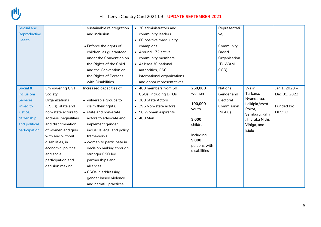

| Sexual and          |                         | sustainable reintegration  | • 30 administrators and     |                       | Representati   |                          |               |
|---------------------|-------------------------|----------------------------|-----------------------------|-----------------------|----------------|--------------------------|---------------|
| Reproductive        |                         | and inclusion.             | community leaders           |                       | ve,            |                          |               |
| Health              |                         |                            | • 60 positive masculinity   |                       |                |                          |               |
|                     |                         | • Enforce the rights of    | champions                   |                       | Community      |                          |               |
|                     |                         | children, as guaranteed    | • Around 172 active         |                       | <b>Based</b>   |                          |               |
|                     |                         | under the Convention on    | community members           |                       | Organisation   |                          |               |
|                     |                         | the Rights of the Child    | • At least 30 national      |                       | <b>(TUWANI</b> |                          |               |
|                     |                         | and the Convention on      | authorities, OSC,           |                       | CGR)           |                          |               |
|                     |                         | the Rights of Persons      | international organizations |                       |                |                          |               |
|                     |                         | with Disabilities.         | and donor representatives   |                       |                |                          |               |
| <b>Social &amp;</b> | <b>Empowering Civil</b> | Increased capacities of:   | • 400 members from 50       | 250,000               | National       | Wajir,                   | Jan 1, 2020 - |
| Inclusion/          | Society                 |                            | CSOs, including DPOs        | women                 | Gender and     | Turkana,                 | Dec 31, 2022  |
| <b>Services</b>     | Organizations           | • vulnerable groups to     | • 380 State Actors          |                       | Electoral      | Nyandarua,               |               |
| linked to           | (CSOs), state and       | claim their rights.        | • 295 Non-state actors      | 100,000<br>youth      | Commission     | Laikipia, West<br>Pokot, | Funded by:    |
| justice,            | non-state actors to     | • state and non-state      | • 50 Women aspirants        |                       | (NGEC)         | Samburu, Kilifi          | <b>DEVCO</b>  |
| citizenship         | address inequalities    | actors to advocate and     | $\bullet$ 400 Men           | 3,000                 |                | ,Tharaka Nithi,          |               |
| and political       | and discrimination      | implement gender           |                             | children              |                | Vihiga, and              |               |
| participation       | of women and girls      | inclusive legal and policy |                             |                       |                | Isiolo                   |               |
|                     | with and without        | frameworks                 |                             | Including:            |                |                          |               |
|                     | disabilities, in        | • women to participate in  |                             | 9,000<br>persons with |                |                          |               |
|                     | economic, political     | decision making through    |                             | disabilities          |                |                          |               |
|                     | and social              | stronger CSO led           |                             |                       |                |                          |               |
|                     | participation and       | partnerships and           |                             |                       |                |                          |               |
|                     | decision making         | alliances                  |                             |                       |                |                          |               |
|                     |                         | • CSOs in addressing       |                             |                       |                |                          |               |
|                     |                         | gender based violence      |                             |                       |                |                          |               |
|                     |                         | and harmful practices.     |                             |                       |                |                          |               |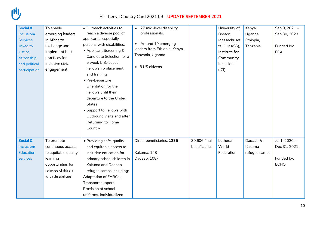

| <b>Social &amp;</b><br>Inclusion/<br><b>Services</b><br>linked to<br>justice,<br>citizenship<br>and political<br>participation | To enable<br>emerging leaders<br>in Africa to<br>exchange and<br>implement best<br>practices for<br>inclusive civic<br>engagement | • Outreach activities to<br>reach a diverse pool of<br>applicants, especially<br>persons with disabilities.<br>• Applicant Screening &<br>Candidate Selection for a<br>5 week U.S.-based<br>Fellowship placement<br>and training<br>• Pre-Departure<br>Orientation for the<br>Fellows until their<br>departure to the United<br><b>States</b><br>• Support to Fellows with<br>Outbound visits and after<br>Returning to Home<br>Country | • 27 mid-level disability<br>professionals.<br>• Around 19 emerging<br>leaders from Ethiopia, Kenya,<br>Tanzania, Uganda<br>• 8 US citizens |                               | University of<br>Boston,<br>Massachuset<br>ts (UMASS),<br>Institute for<br>Community<br>Inclusion<br>( C ) | Kenya,<br>Uganda,<br>Ethiopia,<br>Tanzania | Sep 9, 2021-<br>Sep 30, 2023<br>Funded by:<br><b>ECA</b>   |
|--------------------------------------------------------------------------------------------------------------------------------|-----------------------------------------------------------------------------------------------------------------------------------|-----------------------------------------------------------------------------------------------------------------------------------------------------------------------------------------------------------------------------------------------------------------------------------------------------------------------------------------------------------------------------------------------------------------------------------------|---------------------------------------------------------------------------------------------------------------------------------------------|-------------------------------|------------------------------------------------------------------------------------------------------------|--------------------------------------------|------------------------------------------------------------|
| Social &<br>Inclusion/<br><b>Education</b><br>services                                                                         | To promote<br>continuous access<br>to equitable quality<br>learning<br>opportunities for<br>refugee children<br>with disabilities | · Providing safe, quality<br>and equitable access to<br>inclusive education for<br>primary school children in<br>Kakuma and Dadaab<br>refugee camps including:<br>Adaptation of EARCs,<br>Transport support,<br>Provision of school<br>uniforms, Individualized                                                                                                                                                                         | Direct beneficiaries: 1235<br>Kakuma: 148<br>Dadaab: 1087                                                                                   | 30,606 final<br>beneficiaries | Lutheran<br>World<br>Federation                                                                            | Dadaab &<br>Kakuma<br>rufugee camps        | Jul 1, 2020 -<br>Dec 31, 2021<br>Funded by:<br><b>ECHO</b> |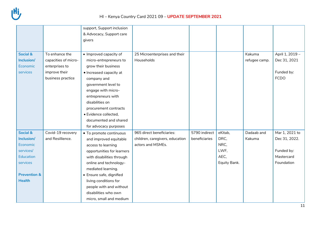|                         |                      | support, Support inclusion |                                 |               |              |               |                 |
|-------------------------|----------------------|----------------------------|---------------------------------|---------------|--------------|---------------|-----------------|
|                         |                      | & Advocacy, Support care   |                                 |               |              |               |                 |
|                         |                      | givers                     |                                 |               |              |               |                 |
|                         |                      |                            |                                 |               |              |               |                 |
| <b>Social &amp;</b>     | To enhance the       | • Improved capacity of     | 25 Microenterprises and their   |               |              | Kakuma        | April 1, 2019 - |
| Inclusion/              |                      |                            | Households                      |               |              |               | Dec 31, 2021    |
| Economic                | capacities of micro- | micro-entrepreneurs to     |                                 |               |              | refugee camp. |                 |
|                         | enterprises to       | grow their business        |                                 |               |              |               |                 |
| services                | improve their        | · Increased capacity at    |                                 |               |              |               | Funded by:      |
|                         | business practice    | company and                |                                 |               |              |               | <b>FCDO</b>     |
|                         |                      | government level to        |                                 |               |              |               |                 |
|                         |                      | engage with micro-         |                                 |               |              |               |                 |
|                         |                      | entrepreneurs with         |                                 |               |              |               |                 |
|                         |                      | disabilities on            |                                 |               |              |               |                 |
|                         |                      | procurement contracts      |                                 |               |              |               |                 |
|                         |                      | · Evidence collected,      |                                 |               |              |               |                 |
|                         |                      | documented and shared      |                                 |               |              |               |                 |
|                         |                      | for advocacy purposes      |                                 |               |              |               |                 |
| <b>Social &amp;</b>     | Covid-19 recovery    | • To promote continuous    | 965 direct beneficiaries:       | 5790 indirect | eKitab,      | Dadaab and    | Mar 1, 2021 to  |
| Inclusion/              | and Resillience.     | and improved equitable     | children, caregivers, education | beneficiaries | DRC,         | Kakuma        | Dec 31, 2022.   |
| Economic                |                      | access to learning         | actors and MSMEs.               |               | NRC,         |               |                 |
| services/               |                      | opportunities for learners |                                 |               | LWF,         |               | Funded by:      |
| Education               |                      | with disabilities through  |                                 |               | AEC,         |               | Mastercard      |
| services                |                      | online and technology-     |                                 |               | Equity Bank. |               | Foundation      |
|                         |                      | mediated learning.         |                                 |               |              |               |                 |
| <b>Prevention &amp;</b> |                      | • Ensure safe, dignified   |                                 |               |              |               |                 |
| <b>Health</b>           |                      | living conditions for      |                                 |               |              |               |                 |
|                         |                      | people with and without    |                                 |               |              |               |                 |
|                         |                      | disabilities who own       |                                 |               |              |               |                 |
|                         |                      | micro, small and medium    |                                 |               |              |               |                 |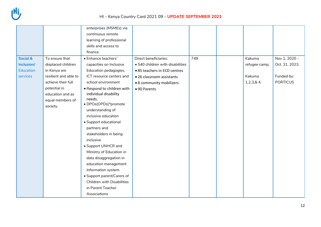|            |                       | enterprises (MSMEs) via           |                                  |     |               |                 |
|------------|-----------------------|-----------------------------------|----------------------------------|-----|---------------|-----------------|
|            |                       | continuous remote                 |                                  |     |               |                 |
|            |                       | learning of professional          |                                  |     |               |                 |
|            |                       | skills and access to              |                                  |     |               |                 |
|            |                       | finance.                          |                                  |     |               |                 |
| Social &   | To ensure that        | • Enhance teachers'               | Direct beneficiaries:            | 749 | Kakuma        | Nov 1, 2020 -   |
| Inclusion/ | displaced children    | capacities on Inclusive           | • 540 children with disabilities |     | refugee camp, | Oct. 31, 2023.  |
| Education  | in Kenya are          | Education pedagogies,             | • 85 teachers in ECD centres     |     |               |                 |
| services   | resilient and able to | ICT resource centers and          | • 26 classroom assistants        |     | Kakuma        | Funded by:      |
|            | achieve their full    | school environment                | • 8 community mobilizers         |     | 1,2,3,8,4.    | <b>PORTICUS</b> |
|            | potential in          | • Respond to children with        | • 90 Parents                     |     |               |                 |
|            | education and as      | individual disability             |                                  |     |               |                 |
|            | equal members of      | needs.                            |                                  |     |               |                 |
|            | society.              | • DPOs(OPDs)*promote              |                                  |     |               |                 |
|            |                       | understanding of                  |                                  |     |               |                 |
|            |                       | inclusive education               |                                  |     |               |                 |
|            |                       | • Support educational             |                                  |     |               |                 |
|            |                       | partners and                      |                                  |     |               |                 |
|            |                       | stakeholders in being             |                                  |     |               |                 |
|            |                       | inclusive                         |                                  |     |               |                 |
|            |                       | • Support UNHCR and               |                                  |     |               |                 |
|            |                       | Ministry of Education in          |                                  |     |               |                 |
|            |                       | data disaggregation in            |                                  |     |               |                 |
|            |                       | education management              |                                  |     |               |                 |
|            |                       | Information system.               |                                  |     |               |                 |
|            |                       | • Support parent/Carers of        |                                  |     |               |                 |
|            |                       | <b>Children with Disabilities</b> |                                  |     |               |                 |
|            |                       | in Parent Teacher                 |                                  |     |               |                 |
|            |                       | Associations                      |                                  |     |               |                 |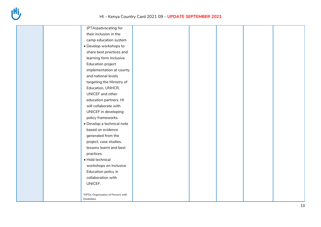| (PTAs)advocating for                                      |  |  |  |
|-----------------------------------------------------------|--|--|--|
| their inclusion in the                                    |  |  |  |
| camp education system                                     |  |  |  |
| · Develop workshops to                                    |  |  |  |
| share best practices and                                  |  |  |  |
| learning form Inclusive                                   |  |  |  |
| Education project                                         |  |  |  |
| implementation at county                                  |  |  |  |
| and national levels                                       |  |  |  |
| targeting the Ministry of                                 |  |  |  |
| Education, UNHCR,                                         |  |  |  |
| UNICEF and other                                          |  |  |  |
| education partners. HI                                    |  |  |  |
| will collaborate with                                     |  |  |  |
| UNICEF in developing                                      |  |  |  |
| policy frameworks.                                        |  |  |  |
| · Develop a technical note                                |  |  |  |
| based on evidence                                         |  |  |  |
| generated from the                                        |  |  |  |
| project, case studies,                                    |  |  |  |
| lessons learnt and best                                   |  |  |  |
| practices.                                                |  |  |  |
| • Hold technical                                          |  |  |  |
| workshops on Inclusive                                    |  |  |  |
| Education policy in                                       |  |  |  |
| collaboration with                                        |  |  |  |
| UNICEF.                                                   |  |  |  |
|                                                           |  |  |  |
| *OPDs-Organization of Persons with<br><b>Disabilities</b> |  |  |  |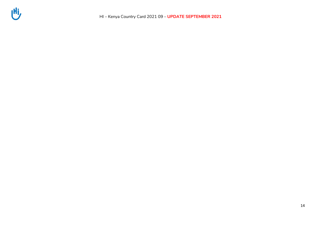